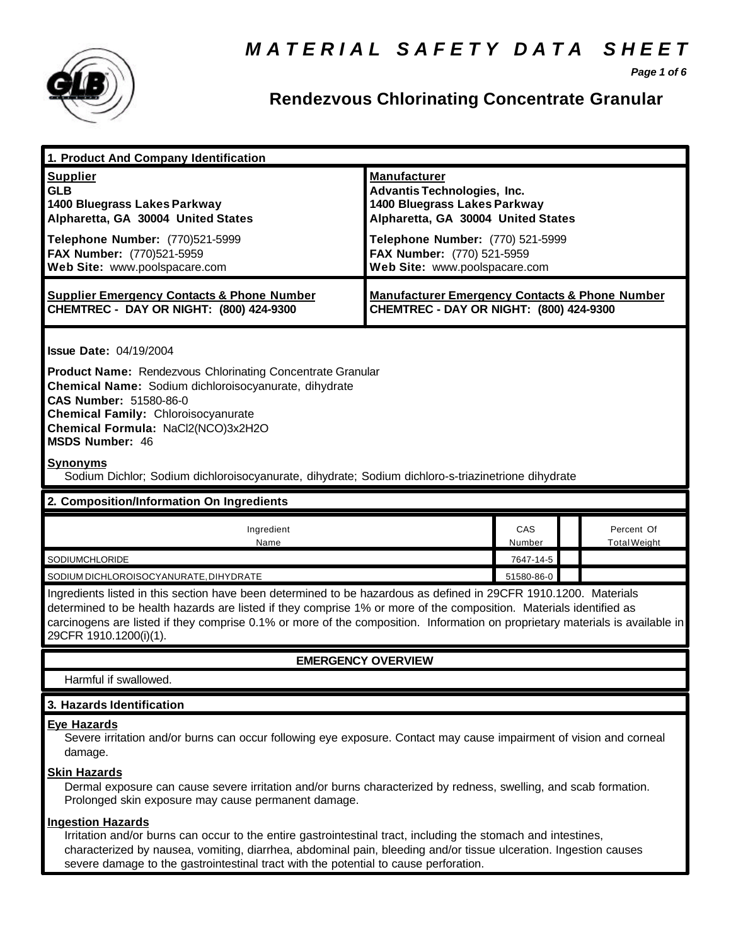

*Page 1 of 6*

## **Rendezvous Chlorinating Concentrate Granular**

| 1. Product And Company Identification                                                                                                                                                                                                                                                                                                                                                                                        |                                                                                                                                                                                                                                    |               |                                   |  |
|------------------------------------------------------------------------------------------------------------------------------------------------------------------------------------------------------------------------------------------------------------------------------------------------------------------------------------------------------------------------------------------------------------------------------|------------------------------------------------------------------------------------------------------------------------------------------------------------------------------------------------------------------------------------|---------------|-----------------------------------|--|
| <b>Supplier</b><br><b>GLB</b><br>1400 Bluegrass Lakes Parkway<br>Alpharetta, GA 30004 United States<br>Telephone Number: (770)521-5999<br>FAX Number: (770)521-5959<br>Web Site: www.poolspacare.com                                                                                                                                                                                                                         | <b>Manufacturer</b><br><b>Advantis Technologies, Inc.</b><br>1400 Bluegrass Lakes Parkway<br>Alpharetta, GA 30004 United States<br>Telephone Number: (770) 521-5999<br>FAX Number: (770) 521-5959<br>Web Site: www.poolspacare.com |               |                                   |  |
| <b>Supplier Emergency Contacts &amp; Phone Number</b><br>CHEMTREC - DAY OR NIGHT: (800) 424-9300                                                                                                                                                                                                                                                                                                                             | <b>Manufacturer Emergency Contacts &amp; Phone Number</b><br>CHEMTREC - DAY OR NIGHT: (800) 424-9300                                                                                                                               |               |                                   |  |
| <b>Issue Date: 04/19/2004</b><br><b>Product Name: Rendezvous Chlorinating Concentrate Granular</b><br>Chemical Name: Sodium dichloroisocyanurate, dihydrate<br>CAS Number: 51580-86-0<br><b>Chemical Family: Chloroisocyanurate</b><br>Chemical Formula: NaCl2(NCO)3x2H2O<br><b>MSDS Number: 46</b><br><b>Synonyms</b><br>Sodium Dichlor; Sodium dichloroisocyanurate, dihydrate; Sodium dichloro-s-triazinetrione dihydrate |                                                                                                                                                                                                                                    |               |                                   |  |
| 2. Composition/Information On Ingredients                                                                                                                                                                                                                                                                                                                                                                                    |                                                                                                                                                                                                                                    |               |                                   |  |
| Ingredient<br>Name                                                                                                                                                                                                                                                                                                                                                                                                           |                                                                                                                                                                                                                                    | CAS<br>Number | Percent Of<br><b>Total Weight</b> |  |
| SODIUMCHLORIDE                                                                                                                                                                                                                                                                                                                                                                                                               |                                                                                                                                                                                                                                    | 7647-14-5     |                                   |  |
| SODIUM DICHLOROISOCYANURATE, DIHYDRATE                                                                                                                                                                                                                                                                                                                                                                                       |                                                                                                                                                                                                                                    | 51580-86-0    |                                   |  |
| Ingredients listed in this section have been determined to be hazardous as defined in 29CFR 1910.1200. Materials<br>determined to be health hazards are listed if they comprise 1% or more of the composition. Materials identified as<br>carcinogens are listed if they comprise 0.1% or more of the composition. Information on proprietary materials is available in<br>29CFR 1910.1200(i)(1).                            |                                                                                                                                                                                                                                    |               |                                   |  |
| <b>EMERGENCY OVERVIEW</b>                                                                                                                                                                                                                                                                                                                                                                                                    |                                                                                                                                                                                                                                    |               |                                   |  |
| Harmful if swallowed.                                                                                                                                                                                                                                                                                                                                                                                                        |                                                                                                                                                                                                                                    |               |                                   |  |
| 3. Hazards Identification                                                                                                                                                                                                                                                                                                                                                                                                    |                                                                                                                                                                                                                                    |               |                                   |  |
| <b>Eye Hazards</b><br>Severe irritation and/or burns can occur following eye exposure. Contact may cause impairment of vision and corneal<br>damage.                                                                                                                                                                                                                                                                         |                                                                                                                                                                                                                                    |               |                                   |  |
| <b>Skin Hazards</b><br>Dermal exposure can cause severe irritation and/or burns characterized by redness, swelling, and scab formation.<br>Prolonged skin exposure may cause permanent damage.                                                                                                                                                                                                                               |                                                                                                                                                                                                                                    |               |                                   |  |
| <b>Ingestion Hazards</b><br>Irritation and/or burns can occur to the entire gastrointestinal tract, including the stomach and intestines,<br>characterized by nausea, vomiting, diarrhea, abdominal pain, bleeding and/or tissue ulceration. Ingestion causes                                                                                                                                                                |                                                                                                                                                                                                                                    |               |                                   |  |

severe damage to the gastrointestinal tract with the potential to cause perforation.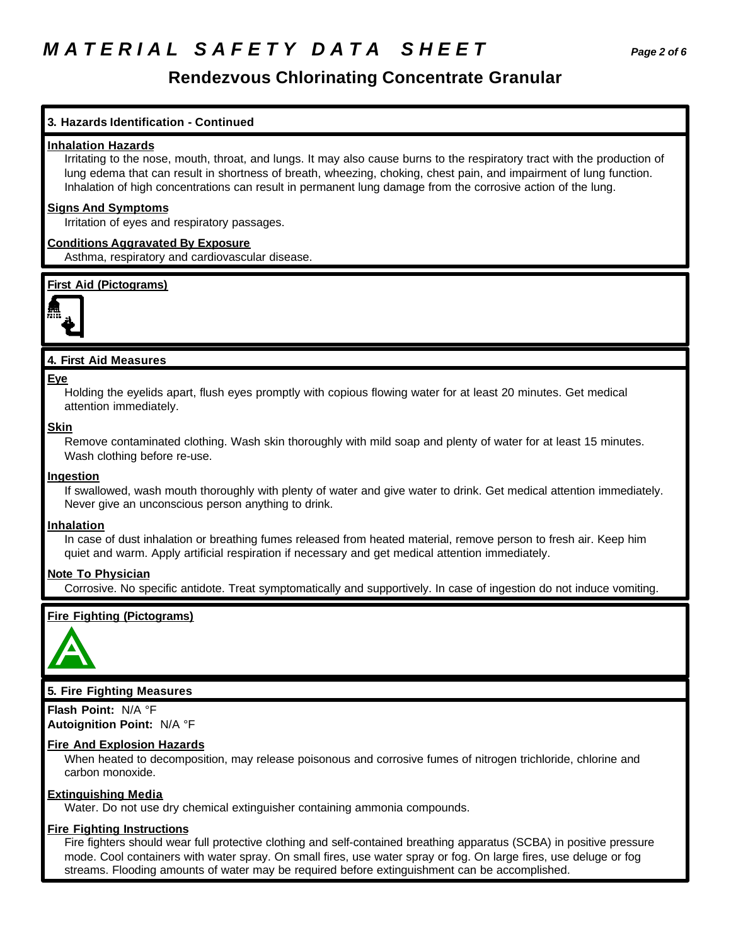## *M A T E R I A L S A F E T Y D A T A S H E E T Page 2 of 6*

## **Rendezvous Chlorinating Concentrate Granular**

## **3. Hazards Identification - Continued**

### **Inhalation Hazards**

Irritating to the nose, mouth, throat, and lungs. It may also cause burns to the respiratory tract with the production of lung edema that can result in shortness of breath, wheezing, choking, chest pain, and impairment of lung function. Inhalation of high concentrations can result in permanent lung damage from the corrosive action of the lung.

### **Signs And Symptoms**

Irritation of eyes and respiratory passages.

### **Conditions Aggravated By Exposure**

Asthma, respiratory and cardiovascular disease.

### **First Aid (Pictograms)**



## **4. First Aid Measures**

#### **Eye**

Holding the eyelids apart, flush eyes promptly with copious flowing water for at least 20 minutes. Get medical attention immediately.

#### **Skin**

Remove contaminated clothing. Wash skin thoroughly with mild soap and plenty of water for at least 15 minutes. Wash clothing before re-use.

### **Ingestion**

If swallowed, wash mouth thoroughly with plenty of water and give water to drink. Get medical attention immediately. Never give an unconscious person anything to drink.

### **Inhalation**

In case of dust inhalation or breathing fumes released from heated material, remove person to fresh air. Keep him quiet and warm. Apply artificial respiration if necessary and get medical attention immediately.

### **Note To Physician**

Corrosive. No specific antidote. Treat symptomatically and supportively. In case of ingestion do not induce vomiting.

## **Fire Fighting (Pictograms)**



## **5. Fire Fighting Measures**

**Flash Point:** N/A °F **Autoignition Point:** N/A °F

### **Fire And Explosion Hazards**

When heated to decomposition, may release poisonous and corrosive fumes of nitrogen trichloride, chlorine and carbon monoxide.

### **Extinguishing Media**

Water. Do not use dry chemical extinguisher containing ammonia compounds.

### **Fire Fighting Instructions**

Fire fighters should wear full protective clothing and self-contained breathing apparatus (SCBA) in positive pressure mode. Cool containers with water spray. On small fires, use water spray or fog. On large fires, use deluge or fog streams. Flooding amounts of water may be required before extinguishment can be accomplished.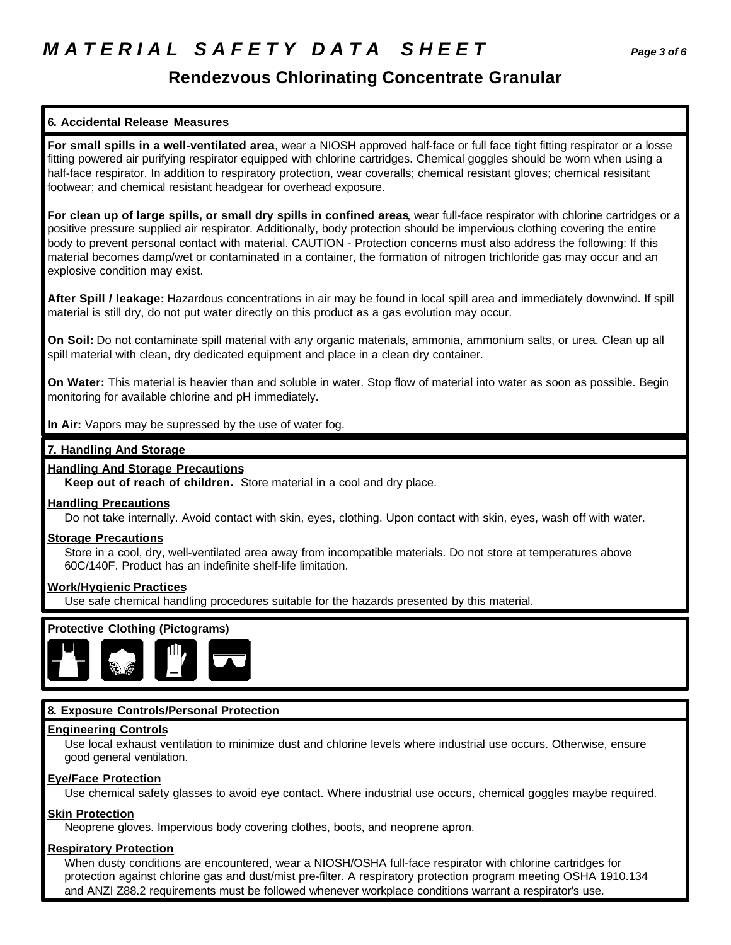## **Rendezvous Chlorinating Concentrate Granular**

## **6. Accidental Release Measures**

**For small spills in a well-ventilated area**, wear a NIOSH approved half-face or full face tight fitting respirator or a losse fitting powered air purifying respirator equipped with chlorine cartridges. Chemical goggles should be worn when using a half-face respirator. In addition to respiratory protection, wear coveralls; chemical resistant gloves; chemical resisitant footwear; and chemical resistant headgear for overhead exposure.

**For clean up of large spills, or small dry spills in confined areas**, wear full-face respirator with chlorine cartridges or a positive pressure supplied air respirator. Additionally, body protection should be impervious clothing covering the entire body to prevent personal contact with material. CAUTION - Protection concerns must also address the following: If this material becomes damp/wet or contaminated in a container, the formation of nitrogen trichloride gas may occur and an explosive condition may exist.

**After Spill / leakage:** Hazardous concentrations in air may be found in local spill area and immediately downwind. If spill material is still dry, do not put water directly on this product as a gas evolution may occur.

**On Soil:** Do not contaminate spill material with any organic materials, ammonia, ammonium salts, or urea. Clean up all spill material with clean, dry dedicated equipment and place in a clean dry container.

**On Water:** This material is heavier than and soluble in water. Stop flow of material into water as soon as possible. Begin monitoring for available chlorine and pH immediately.

**In Air:** Vapors may be supressed by the use of water fog.

## **7. Handling And Storage**

## **Handling And Storage Precautions**

**Keep out of reach of children.** Store material in a cool and dry place.

## **Handling Precautions**

Do not take internally. Avoid contact with skin, eyes, clothing. Upon contact with skin, eyes, wash off with water.

## **Storage Precautions**

Store in a cool, dry, well-ventilated area away from incompatible materials. Do not store at temperatures above 60C/140F. Product has an indefinite shelf-life limitation.

## **Work/Hygienic Practices**

Use safe chemical handling procedures suitable for the hazards presented by this material.





## **8. Exposure Controls/Personal Protection**

## **Engineering Controls**

Use local exhaust ventilation to minimize dust and chlorine levels where industrial use occurs. Otherwise, ensure good general ventilation.

## **Eye/Face Protection**

Use chemical safety glasses to avoid eye contact. Where industrial use occurs, chemical goggles maybe required.

## **Skin Protection**

Neoprene gloves. Impervious body covering clothes, boots, and neoprene apron.

## **Respiratory Protection**

When dusty conditions are encountered, wear a NIOSH/OSHA full-face respirator with chlorine cartridges for protection against chlorine gas and dust/mist pre-filter. A respiratory protection program meeting OSHA 1910.134 and ANZI Z88.2 requirements must be followed whenever workplace conditions warrant a respirator's use.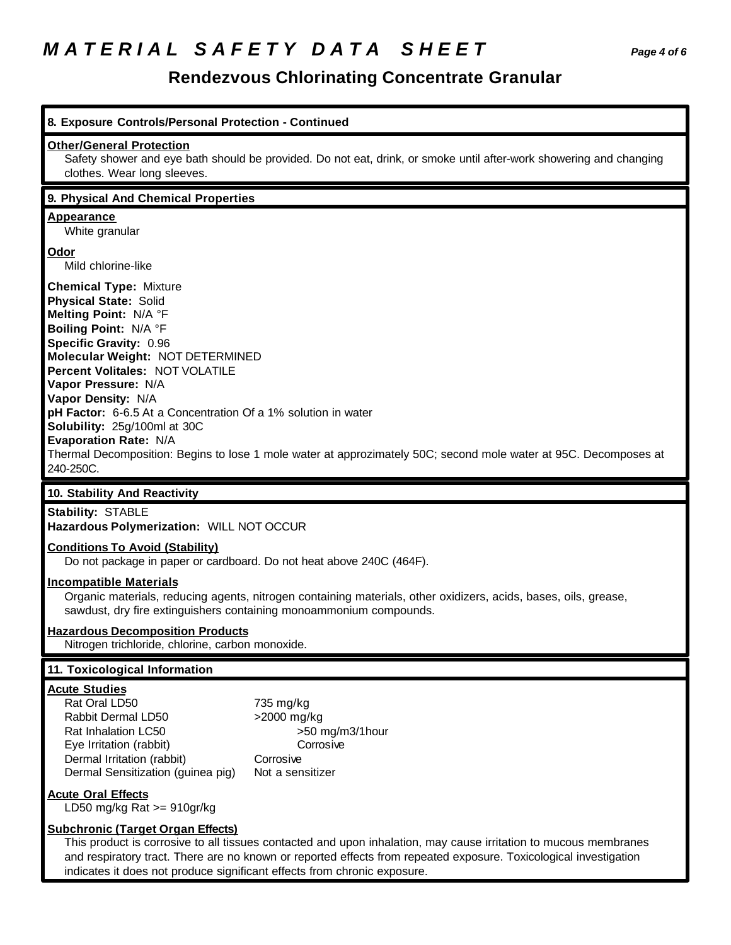## *M A T E R I A L S A F E T Y D A T A S H E E T Page 4 of 6*

## **Rendezvous Chlorinating Concentrate Granular**

| 8. Exposure Controls/Personal Protection - Continued                                                                                                                                                                                                                                                                                                                                                                                                                                                                     |                                                                                                                    |  |  |
|--------------------------------------------------------------------------------------------------------------------------------------------------------------------------------------------------------------------------------------------------------------------------------------------------------------------------------------------------------------------------------------------------------------------------------------------------------------------------------------------------------------------------|--------------------------------------------------------------------------------------------------------------------|--|--|
| <b>Other/General Protection</b><br>clothes. Wear long sleeves.                                                                                                                                                                                                                                                                                                                                                                                                                                                           | Safety shower and eye bath should be provided. Do not eat, drink, or smoke until after-work showering and changing |  |  |
| 9. Physical And Chemical Properties                                                                                                                                                                                                                                                                                                                                                                                                                                                                                      |                                                                                                                    |  |  |
| <b>Appearance</b><br>White granular                                                                                                                                                                                                                                                                                                                                                                                                                                                                                      |                                                                                                                    |  |  |
| Odor<br>Mild chlorine-like                                                                                                                                                                                                                                                                                                                                                                                                                                                                                               |                                                                                                                    |  |  |
| <b>Chemical Type: Mixture</b><br><b>Physical State: Solid</b><br>Melting Point: N/A °F<br>Boiling Point: N/A °F<br>Specific Gravity: 0.96<br>Molecular Weight: NOT DETERMINED<br>Percent Volitales: NOT VOLATILE<br>Vapor Pressure: N/A<br>Vapor Density: N/A<br>pH Factor: 6-6.5 At a Concentration Of a 1% solution in water<br>Solubility: 25g/100ml at 30C<br>Evaporation Rate: N/A<br>Thermal Decomposition: Begins to lose 1 mole water at approzimately 50C; second mole water at 95C. Decomposes at<br>240-250C. |                                                                                                                    |  |  |
| 10. Stability And Reactivity                                                                                                                                                                                                                                                                                                                                                                                                                                                                                             |                                                                                                                    |  |  |
| <b>Stability: STABLE</b><br>Hazardous Polymerization: WILL NOT OCCUR                                                                                                                                                                                                                                                                                                                                                                                                                                                     |                                                                                                                    |  |  |
| <b>Conditions To Avoid (Stability)</b><br>Do not package in paper or cardboard. Do not heat above 240C (464F).                                                                                                                                                                                                                                                                                                                                                                                                           |                                                                                                                    |  |  |
| <b>Incompatible Materials</b><br>Organic materials, reducing agents, nitrogen containing materials, other oxidizers, acids, bases, oils, grease,<br>sawdust, dry fire extinguishers containing monoammonium compounds.                                                                                                                                                                                                                                                                                                   |                                                                                                                    |  |  |
| <b>Hazardous Decomposition Products</b><br>Nitrogen trichloride, chlorine, carbon monoxide.                                                                                                                                                                                                                                                                                                                                                                                                                              |                                                                                                                    |  |  |
|                                                                                                                                                                                                                                                                                                                                                                                                                                                                                                                          |                                                                                                                    |  |  |
| 11. Toxicological Information                                                                                                                                                                                                                                                                                                                                                                                                                                                                                            |                                                                                                                    |  |  |
| <b>Acute Studies</b><br>Rat Oral LD50<br>Rabbit Dermal LD50<br>Rat Inhalation LC50<br>Eye Irritation (rabbit)<br>Dermal Irritation (rabbit)<br>Dermal Sensitization (guinea pig)                                                                                                                                                                                                                                                                                                                                         | 735 mg/kg<br>>2000 mg/kg<br>>50 mg/m3/1hour<br>Corrosive<br>Corrosive<br>Not a sensitizer                          |  |  |
| <b>Acute Oral Effects</b><br>LD50 mg/kg Rat >= 910gr/kg                                                                                                                                                                                                                                                                                                                                                                                                                                                                  |                                                                                                                    |  |  |

indicates it does not produce significant effects from chronic exposure.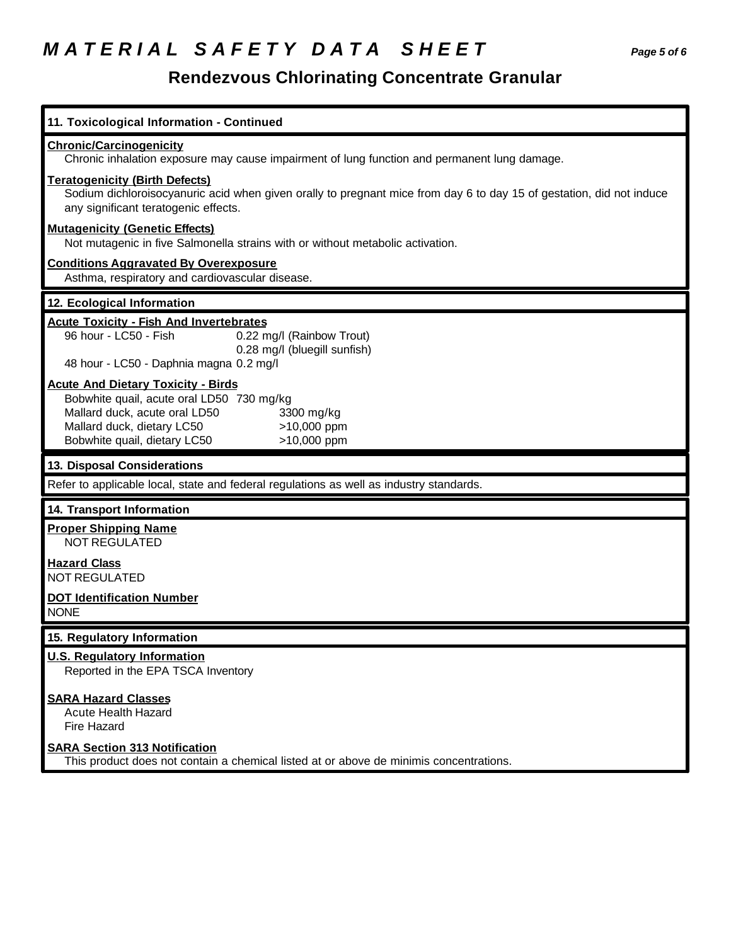# *M A T E R I A L S A F E T Y D A T A S H E E T Page 5 of 6*

## **Rendezvous Chlorinating Concentrate Granular**

| 11. Toxicological Information - Continued                                                                                                                                                                                         |  |  |  |
|-----------------------------------------------------------------------------------------------------------------------------------------------------------------------------------------------------------------------------------|--|--|--|
| <b>Chronic/Carcinogenicity</b><br>Chronic inhalation exposure may cause impairment of lung function and permanent lung damage.                                                                                                    |  |  |  |
| <b>Teratogenicity (Birth Defects)</b><br>Sodium dichloroisocyanuric acid when given orally to pregnant mice from day 6 to day 15 of gestation, did not induce<br>any significant teratogenic effects.                             |  |  |  |
| <b>Mutagenicity (Genetic Effects)</b><br>Not mutagenic in five Salmonella strains with or without metabolic activation.                                                                                                           |  |  |  |
| <b>Conditions Aggravated By Overexposure</b><br>Asthma, respiratory and cardiovascular disease.                                                                                                                                   |  |  |  |
| 12. Ecological Information                                                                                                                                                                                                        |  |  |  |
| <b>Acute Toxicity - Fish And Invertebrates</b><br>96 hour - LC50 - Fish<br>0.22 mg/l (Rainbow Trout)<br>0.28 mg/l (bluegill sunfish)<br>48 hour - LC50 - Daphnia magna 0.2 mg/l                                                   |  |  |  |
| <b>Acute And Dietary Toxicity - Birds</b><br>Bobwhite quail, acute oral LD50 730 mg/kg<br>Mallard duck, acute oral LD50<br>3300 mg/kg<br>Mallard duck, dietary LC50<br>>10,000 ppm<br>Bobwhite quail, dietary LC50<br>>10,000 ppm |  |  |  |
| 13. Disposal Considerations                                                                                                                                                                                                       |  |  |  |
| Refer to applicable local, state and federal regulations as well as industry standards.                                                                                                                                           |  |  |  |
| 14. Transport Information                                                                                                                                                                                                         |  |  |  |
| <b>Proper Shipping Name</b><br><b>NOT REGULATED</b>                                                                                                                                                                               |  |  |  |
| <b>Hazard Class</b><br><b>NOT REGULATED</b>                                                                                                                                                                                       |  |  |  |
| <b>DOT Identification Number</b><br><b>NONE</b>                                                                                                                                                                                   |  |  |  |
| 15. Regulatory Information                                                                                                                                                                                                        |  |  |  |
|                                                                                                                                                                                                                                   |  |  |  |
| <b>U.S. Regulatory Information</b><br>Reported in the EPA TSCA Inventory                                                                                                                                                          |  |  |  |
| <b>SARA Hazard Classes</b><br><b>Acute Health Hazard</b><br>Fire Hazard                                                                                                                                                           |  |  |  |
| <b>SARA Section 313 Notification</b><br>This product does not contain a chemical listed at or above de minimis concentrations.                                                                                                    |  |  |  |